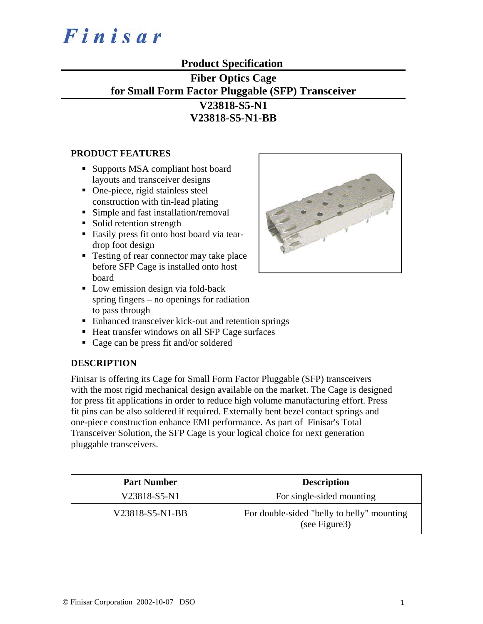

# **Product Specification**

# **Fiber Optics Cage for Small Form Factor Pluggable (SFP) Transceiver V23818-S5-N1**

**V23818-S5-N1-BB**

#### **PRODUCT FEATURES**

- Supports MSA compliant host board layouts and transceiver designs
- One-piece, rigid stainless steel construction with tin-lead plating
- Simple and fast installation/removal
- Solid retention strength
- Easily press fit onto host board via teardrop foot design
- Testing of rear connector may take place before SFP Cage is installed onto host board
- Low emission design via fold-back spring fingers – no openings for radiation to pass through
- Enhanced transceiver kick-out and retention springs
- Heat transfer windows on all SFP Cage surfaces
- Cage can be press fit and/or soldered

### **DESCRIPTION**

Finisar is offering its Cage for Small Form Factor Pluggable (SFP) transceivers with the most rigid mechanical design available on the market. The Cage is designed for press fit applications in order to reduce high volume manufacturing effort. Press fit pins can be also soldered if required. Externally bent bezel contact springs and one-piece construction enhance EMI performance. As part of Finisar's Total Transceiver Solution, the SFP Cage is your logical choice for next generation pluggable transceivers.

| <b>Part Number</b> | <b>Description</b>                                           |  |
|--------------------|--------------------------------------------------------------|--|
| V23818-S5-N1       | For single-sided mounting                                    |  |
| V23818-S5-N1-BB    | For double-sided "belly to belly" mounting<br>(see Figure 3) |  |

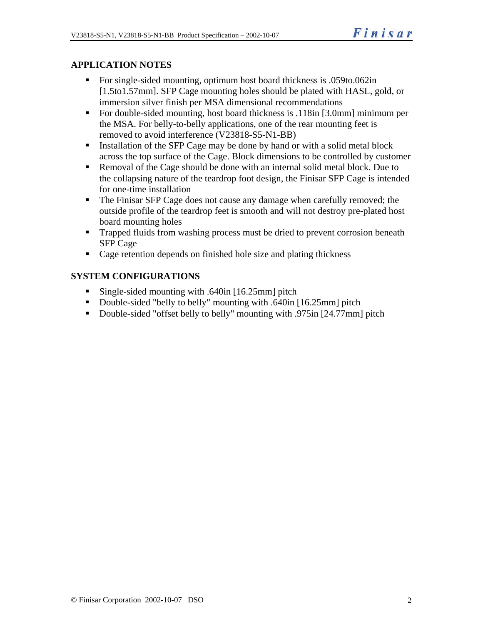## **APPLICATION NOTES**

- For single-sided mounting, optimum host board thickness is .059to.062in [1.5to1.57mm]. SFP Cage mounting holes should be plated with HASL, gold, or immersion silver finish per MSA dimensional recommendations
- For double-sided mounting, host board thickness is .118in [3.0mm] minimum per the MSA. For belly-to-belly applications, one of the rear mounting feet is removed to avoid interference (V23818-S5-N1-BB)
- Installation of the SFP Cage may be done by hand or with a solid metal block across the top surface of the Cage. Block dimensions to be controlled by customer
- Removal of the Cage should be done with an internal solid metal block. Due to the collapsing nature of the teardrop foot design, the Finisar SFP Cage is intended for one-time installation
- The Finisar SFP Cage does not cause any damage when carefully removed; the outside profile of the teardrop feet is smooth and will not destroy pre-plated host board mounting holes
- **Trapped fluids from washing process must be dried to prevent corrosion beneath** SFP Cage
- Cage retention depends on finished hole size and plating thickness

### **SYSTEM CONFIGURATIONS**

- Single-sided mounting with .640in [16.25mm] pitch
- Double-sided "belly to belly" mounting with .640in [16.25mm] pitch
- Double-sided "offset belly to belly" mounting with .975in [24.77mm] pitch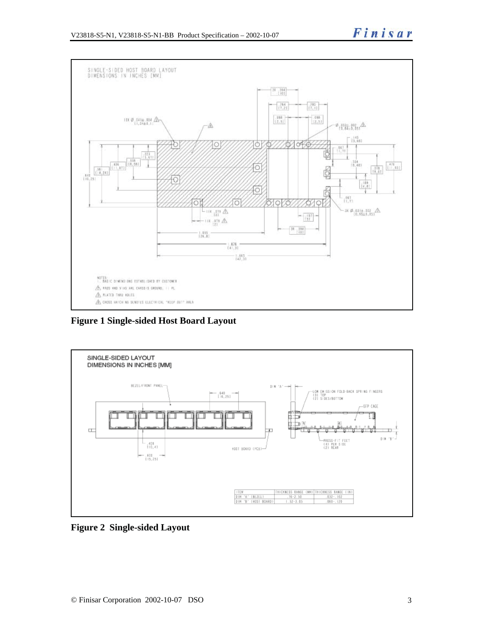

**Figure 1 Single-sided Host Board Layout** 



**Figure 2 Single-sided Layout**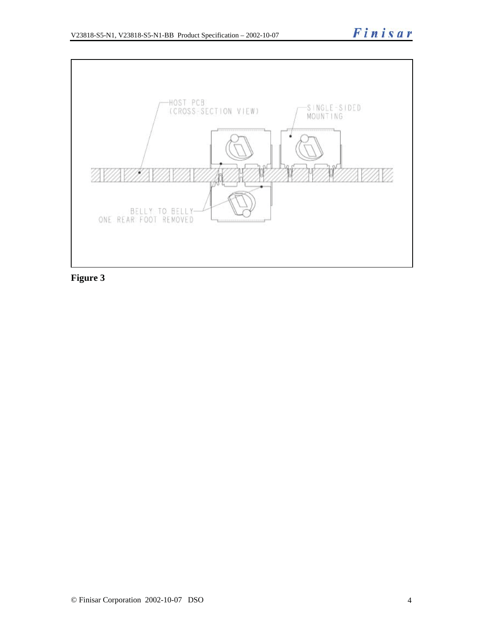

**Figure 3**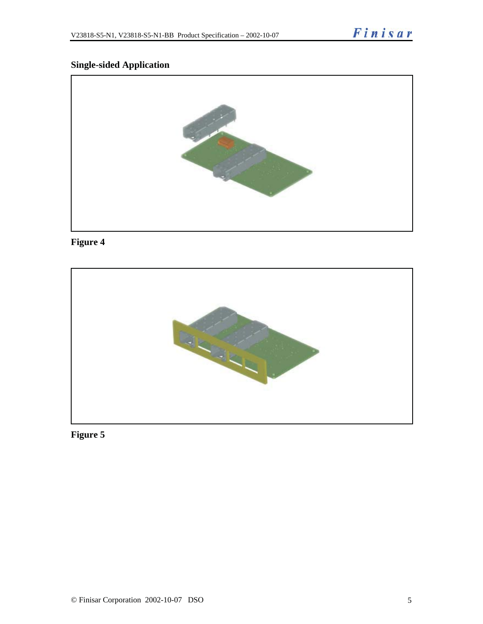## **Single-sided Application**



# **Figure 4**



# **Figure 5**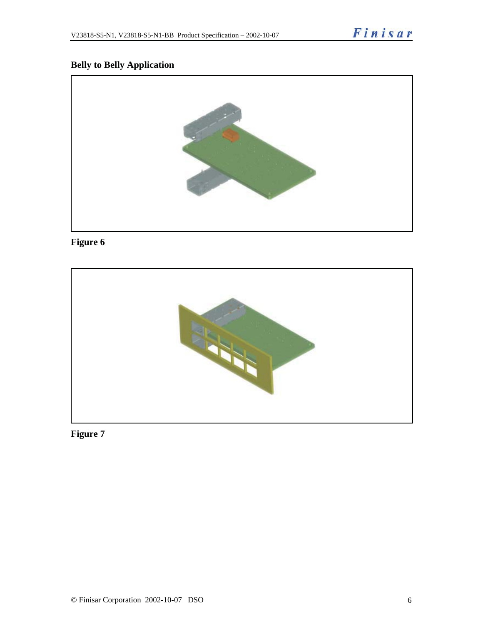## **Belly to Belly Application**



# **Figure 6**



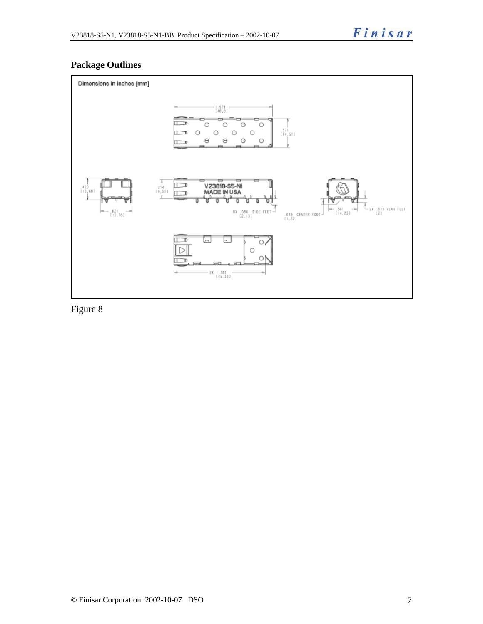## **Package Outlines**



Figure 8